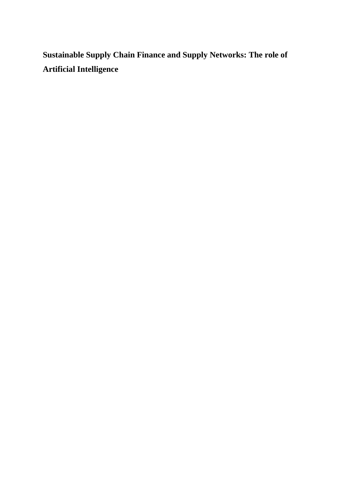**Sustainable Supply Chain Finance and Supply Networks: The role of Artificial Intelligence**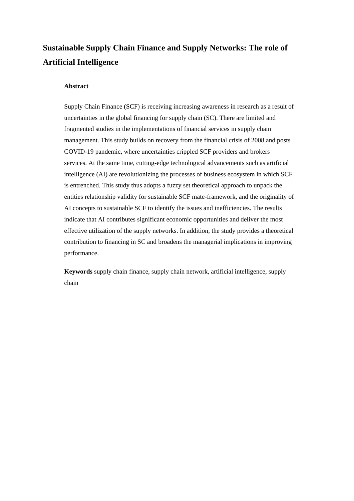# **Sustainable Supply Chain Finance and Supply Networks: The role of Artificial Intelligence**

#### **Abstract**

Supply Chain Finance (SCF) is receiving increasing awareness in research as a result of uncertainties in the global financing for supply chain (SC). There are limited and fragmented studies in the implementations of financial services in supply chain management. This study builds on recovery from the financial crisis of 2008 and posts COVID-19 pandemic, where uncertainties crippled SCF providers and brokers services. At the same time, cutting-edge technological advancements such as artificial intelligence (AI) are revolutionizing the processes of business ecosystem in which SCF is entrenched. This study thus adopts a fuzzy set theoretical approach to unpack the entities relationship validity for sustainable SCF mate-framework, and the originality of AI concepts to sustainable SCF to identify the issues and inefficiencies. The results indicate that AI contributes significant economic opportunities and deliver the most effective utilization of the supply networks. In addition, the study provides a theoretical contribution to financing in SC and broadens the managerial implications in improving performance.

**Keywords** supply chain finance, supply chain network, artificial intelligence, supply chain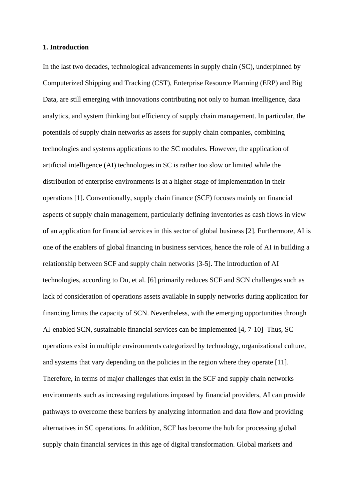#### **1. Introduction**

In the last two decades, technological advancements in supply chain (SC), underpinned by Computerized Shipping and Tracking (CST), Enterprise Resource Planning (ERP) and Big Data, are still emerging with innovations contributing not only to human intelligence, data analytics, and system thinking but efficiency of supply chain management. In particular, the potentials of supply chain networks as assets for supply chain companies, combining technologies and systems applications to the SC modules. However, the application of artificial intelligence (AI) technologies in SC is rather too slow or limited while the distribution of enterprise environments is at a higher stage of implementation in their operations [1]. Conventionally, supply chain finance (SCF) focuses mainly on financial aspects of supply chain management, particularly defining inventories as cash flows in view of an application for financial services in this sector of global business [2]. Furthermore, AI is one of the enablers of global financing in business services, hence the role of AI in building a relationship between SCF and supply chain networks [3-5]. The introduction of AI technologies, according to Du, et al. [6] primarily reduces SCF and SCN challenges such as lack of consideration of operations assets available in supply networks during application for financing limits the capacity of SCN. Nevertheless, with the emerging opportunities through AI-enabled SCN, sustainable financial services can be implemented [4, 7-10] Thus, SC operations exist in multiple environments categorized by technology, organizational culture, and systems that vary depending on the policies in the region where they operate [11]. Therefore, in terms of major challenges that exist in the SCF and supply chain networks environments such as increasing regulations imposed by financial providers, AI can provide pathways to overcome these barriers by analyzing information and data flow and providing alternatives in SC operations. In addition, SCF has become the hub for processing global supply chain financial services in this age of digital transformation. Global markets and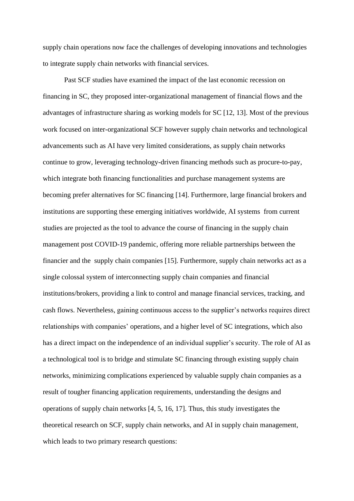supply chain operations now face the challenges of developing innovations and technologies to integrate supply chain networks with financial services.

Past SCF studies have examined the impact of the last economic recession on financing in SC, they proposed inter-organizational management of financial flows and the advantages of infrastructure sharing as working models for SC [12, 13]. Most of the previous work focused on inter-organizational SCF however supply chain networks and technological advancements such as AI have very limited considerations, as supply chain networks continue to grow, leveraging technology-driven financing methods such as procure-to-pay, which integrate both financing functionalities and purchase management systems are becoming prefer alternatives for SC financing [14]. Furthermore, large financial brokers and institutions are supporting these emerging initiatives worldwide, AI systems from current studies are projected as the tool to advance the course of financing in the supply chain management post COVID-19 pandemic, offering more reliable partnerships between the financier and the supply chain companies [15]. Furthermore, supply chain networks act as a single colossal system of interconnecting supply chain companies and financial institutions/brokers, providing a link to control and manage financial services, tracking, and cash flows. Nevertheless, gaining continuous access to the supplier's networks requires direct relationships with companies' operations, and a higher level of SC integrations, which also has a direct impact on the independence of an individual supplier's security. The role of AI as a technological tool is to bridge and stimulate SC financing through existing supply chain networks, minimizing complications experienced by valuable supply chain companies as a result of tougher financing application requirements, understanding the designs and operations of supply chain networks [4, 5, 16, 17]. Thus, this study investigates the theoretical research on SCF, supply chain networks, and AI in supply chain management, which leads to two primary research questions: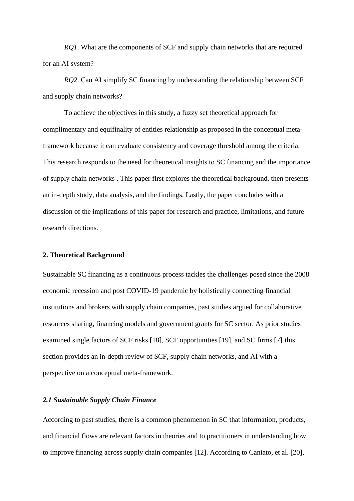*RQ1*. What are the components of SCF and supply chain networks that are required for an AI system?

*RQ2*. Can AI simplify SC financing by understanding the relationship between SCF and supply chain networks?

To achieve the objectives in this study, a fuzzy set theoretical approach for complimentary and equifinality of entities relationship as proposed in the conceptual metaframework because it can evaluate consistency and coverage threshold among the criteria. This research responds to the need for theoretical insights to SC financing and the importance of supply chain networks . This paper first explores the theoretical background, then presents an in-depth study, data analysis, and the findings. Lastly, the paper concludes with a discussion of the implications of this paper for research and practice, limitations, and future research directions.

#### **2. Theoretical Background**

Sustainable SC financing as a continuous process tackles the challenges posed since the 2008 economic recession and post COVID-19 pandemic by holistically connecting financial institutions and brokers with supply chain companies, past studies argued for collaborative resources sharing, financing models and government grants for SC sector. As prior studies examined single factors of SCF risks [18], SCF opportunities [19], and SC firms [7], this section provides an in-depth review of SCF, supply chain networks, and AI with a perspective on a conceptual meta-framework.

## *2.1 Sustainable Supply Chain Finance*

According to past studies, there is a common phenomenon in SC that information, products, and financial flows are relevant factors in theories and to practitioners in understanding how to improve financing across supply chain companies [12]. According to Caniato, et al. [20],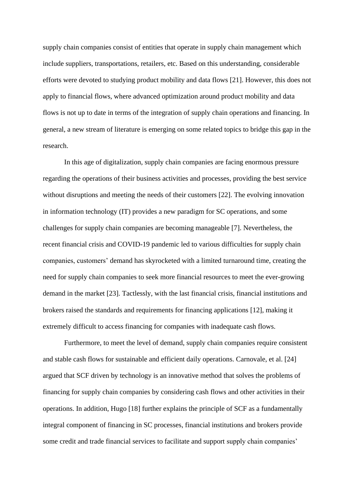supply chain companies consist of entities that operate in supply chain management which include suppliers, transportations, retailers, etc. Based on this understanding, considerable efforts were devoted to studying product mobility and data flows [21]. However, this does not apply to financial flows, where advanced optimization around product mobility and data flows is not up to date in terms of the integration of supply chain operations and financing. In general, a new stream of literature is emerging on some related topics to bridge this gap in the research.

In this age of digitalization, supply chain companies are facing enormous pressure regarding the operations of their business activities and processes, providing the best service without disruptions and meeting the needs of their customers [22]. The evolving innovation in information technology (IT) provides a new paradigm for SC operations, and some challenges for supply chain companies are becoming manageable [7]. Nevertheless, the recent financial crisis and COVID-19 pandemic led to various difficulties for supply chain companies, customers' demand has skyrocketed with a limited turnaround time, creating the need for supply chain companies to seek more financial resources to meet the ever-growing demand in the market [23]. Tactlessly, with the last financial crisis, financial institutions and brokers raised the standards and requirements for financing applications [12], making it extremely difficult to access financing for companies with inadequate cash flows.

Furthermore, to meet the level of demand, supply chain companies require consistent and stable cash flows for sustainable and efficient daily operations. Carnovale, et al. [24] argued that SCF driven by technology is an innovative method that solves the problems of financing for supply chain companies by considering cash flows and other activities in their operations. In addition, Hugo [18] further explains the principle of SCF as a fundamentally integral component of financing in SC processes, financial institutions and brokers provide some credit and trade financial services to facilitate and support supply chain companies'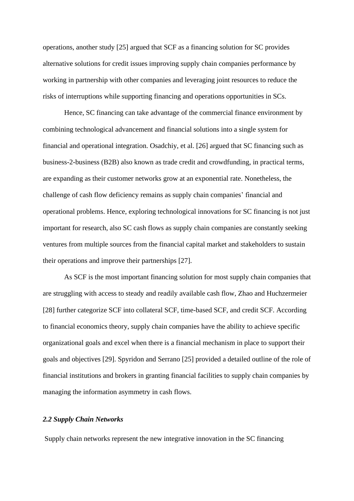operations, another study [25] argued that SCF as a financing solution for SC provides alternative solutions for credit issues improving supply chain companies performance by working in partnership with other companies and leveraging joint resources to reduce the risks of interruptions while supporting financing and operations opportunities in SCs.

Hence, SC financing can take advantage of the commercial finance environment by combining technological advancement and financial solutions into a single system for financial and operational integration. Osadchiy, et al. [26] argued that SC financing such as business-2-business (B2B) also known as trade credit and crowdfunding, in practical terms, are expanding as their customer networks grow at an exponential rate. Nonetheless, the challenge of cash flow deficiency remains as supply chain companies' financial and operational problems. Hence, exploring technological innovations for SC financing is not just important for research, also SC cash flows as supply chain companies are constantly seeking ventures from multiple sources from the financial capital market and stakeholders to sustain their operations and improve their partnerships [27].

As SCF is the most important financing solution for most supply chain companies that are struggling with access to steady and readily available cash flow, Zhao and Huchzermeier [28] further categorize SCF into collateral SCF, time-based SCF, and credit SCF. According to financial economics theory, supply chain companies have the ability to achieve specific organizational goals and excel when there is a financial mechanism in place to support their goals and objectives [29]. Spyridon and Serrano [25] provided a detailed outline of the role of financial institutions and brokers in granting financial facilities to supply chain companies by managing the information asymmetry in cash flows.

#### *2.2 Supply Chain Networks*

Supply chain networks represent the new integrative innovation in the SC financing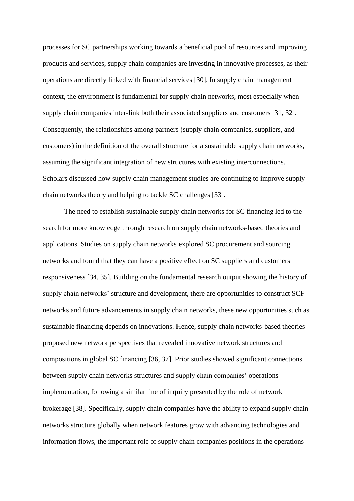processes for SC partnerships working towards a beneficial pool of resources and improving products and services, supply chain companies are investing in innovative processes, as their operations are directly linked with financial services [30]. In supply chain management context, the environment is fundamental for supply chain networks, most especially when supply chain companies inter-link both their associated suppliers and customers [31, 32]. Consequently, the relationships among partners (supply chain companies, suppliers, and customers) in the definition of the overall structure for a sustainable supply chain networks, assuming the significant integration of new structures with existing interconnections. Scholars discussed how supply chain management studies are continuing to improve supply chain networks theory and helping to tackle SC challenges [33].

The need to establish sustainable supply chain networks for SC financing led to the search for more knowledge through research on supply chain networks-based theories and applications. Studies on supply chain networks explored SC procurement and sourcing networks and found that they can have a positive effect on SC suppliers and customers responsiveness [34, 35]. Building on the fundamental research output showing the history of supply chain networks' structure and development, there are opportunities to construct SCF networks and future advancements in supply chain networks, these new opportunities such as sustainable financing depends on innovations. Hence, supply chain networks-based theories proposed new network perspectives that revealed innovative network structures and compositions in global SC financing [36, 37]. Prior studies showed significant connections between supply chain networks structures and supply chain companies' operations implementation, following a similar line of inquiry presented by the role of network brokerage [38]. Specifically, supply chain companies have the ability to expand supply chain networks structure globally when network features grow with advancing technologies and information flows, the important role of supply chain companies positions in the operations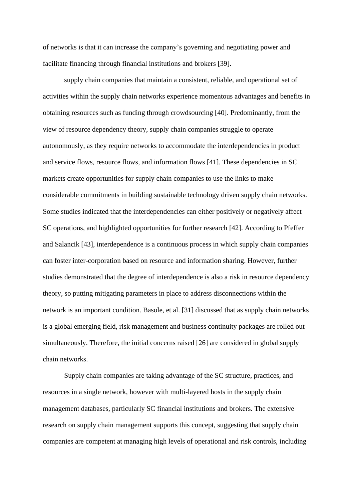of networks is that it can increase the company's governing and negotiating power and facilitate financing through financial institutions and brokers [39].

supply chain companies that maintain a consistent, reliable, and operational set of activities within the supply chain networks experience momentous advantages and benefits in obtaining resources such as funding through crowdsourcing [40]. Predominantly, from the view of resource dependency theory, supply chain companies struggle to operate autonomously, as they require networks to accommodate the interdependencies in product and service flows, resource flows, and information flows [41]. These dependencies in SC markets create opportunities for supply chain companies to use the links to make considerable commitments in building sustainable technology driven supply chain networks. Some studies indicated that the interdependencies can either positively or negatively affect SC operations, and highlighted opportunities for further research [42]. According to Pfeffer and Salancik [43], interdependence is a continuous process in which supply chain companies can foster inter-corporation based on resource and information sharing. However, further studies demonstrated that the degree of interdependence is also a risk in resource dependency theory, so putting mitigating parameters in place to address disconnections within the network is an important condition. Basole, et al. [31] discussed that as supply chain networks is a global emerging field, risk management and business continuity packages are rolled out simultaneously. Therefore, the initial concerns raised [26] are considered in global supply chain networks.

Supply chain companies are taking advantage of the SC structure, practices, and resources in a single network, however with multi-layered hosts in the supply chain management databases, particularly SC financial institutions and brokers. The extensive research on supply chain management supports this concept, suggesting that supply chain companies are competent at managing high levels of operational and risk controls, including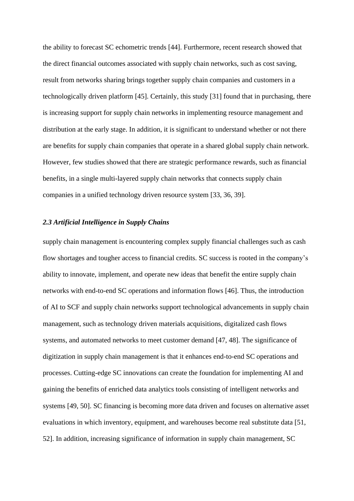the ability to forecast SC echometric trends [44]. Furthermore, recent research showed that the direct financial outcomes associated with supply chain networks, such as cost saving, result from networks sharing brings together supply chain companies and customers in a technologically driven platform [45]. Certainly, this study [31] found that in purchasing, there is increasing support for supply chain networks in implementing resource management and distribution at the early stage. In addition, it is significant to understand whether or not there are benefits for supply chain companies that operate in a shared global supply chain network. However, few studies showed that there are strategic performance rewards, such as financial benefits, in a single multi-layered supply chain networks that connects supply chain companies in a unified technology driven resource system [33, 36, 39].

#### *2.3 Artificial Intelligence in Supply Chains*

supply chain management is encountering complex supply financial challenges such as cash flow shortages and tougher access to financial credits. SC success is rooted in the company's ability to innovate, implement, and operate new ideas that benefit the entire supply chain networks with end-to-end SC operations and information flows [46]. Thus, the introduction of AI to SCF and supply chain networks support technological advancements in supply chain management, such as technology driven materials acquisitions, digitalized cash flows systems, and automated networks to meet customer demand [47, 48]. The significance of digitization in supply chain management is that it enhances end-to-end SC operations and processes. Cutting-edge SC innovations can create the foundation for implementing AI and gaining the benefits of enriched data analytics tools consisting of intelligent networks and systems [49, 50]. SC financing is becoming more data driven and focuses on alternative asset evaluations in which inventory, equipment, and warehouses become real substitute data [51, 52]. In addition, increasing significance of information in supply chain management, SC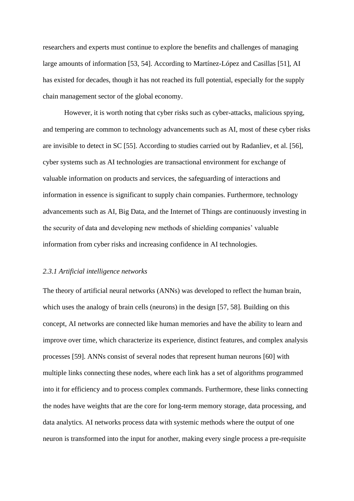researchers and experts must continue to explore the benefits and challenges of managing large amounts of information [53, 54]. According to Martínez-López and Casillas [51], AI has existed for decades, though it has not reached its full potential, especially for the supply chain management sector of the global economy.

However, it is worth noting that cyber risks such as cyber-attacks, malicious spying, and tempering are common to technology advancements such as AI, most of these cyber risks are invisible to detect in SC [55]. According to studies carried out by Radanliev, et al. [56], cyber systems such as AI technologies are transactional environment for exchange of valuable information on products and services, the safeguarding of interactions and information in essence is significant to supply chain companies. Furthermore, technology advancements such as AI, Big Data, and the Internet of Things are continuously investing in the security of data and developing new methods of shielding companies' valuable information from cyber risks and increasing confidence in AI technologies.

#### *2.3.1 Artificial intelligence networks*

The theory of artificial neural networks (ANNs) was developed to reflect the human brain, which uses the analogy of brain cells (neurons) in the design [57, 58]. Building on this concept, AI networks are connected like human memories and have the ability to learn and improve over time, which characterize its experience, distinct features, and complex analysis processes [59]. ANNs consist of several nodes that represent human neurons [60] with multiple links connecting these nodes, where each link has a set of algorithms programmed into it for efficiency and to process complex commands. Furthermore, these links connecting the nodes have weights that are the core for long-term memory storage, data processing, and data analytics. AI networks process data with systemic methods where the output of one neuron is transformed into the input for another, making every single process a pre-requisite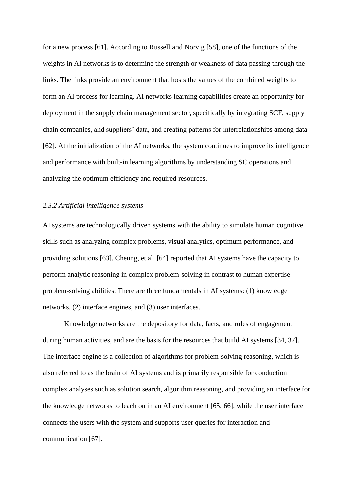for a new process [61]. According to Russell and Norvig [58], one of the functions of the weights in AI networks is to determine the strength or weakness of data passing through the links. The links provide an environment that hosts the values of the combined weights to form an AI process for learning. AI networks learning capabilities create an opportunity for deployment in the supply chain management sector, specifically by integrating SCF, supply chain companies, and suppliers' data, and creating patterns for interrelationships among data [62]. At the initialization of the AI networks, the system continues to improve its intelligence and performance with built-in learning algorithms by understanding SC operations and analyzing the optimum efficiency and required resources.

#### *2.3.2 Artificial intelligence systems*

AI systems are technologically driven systems with the ability to simulate human cognitive skills such as analyzing complex problems, visual analytics, optimum performance, and providing solutions [63]. Cheung, et al. [64] reported that AI systems have the capacity to perform analytic reasoning in complex problem-solving in contrast to human expertise problem-solving abilities. There are three fundamentals in AI systems: (1) knowledge networks, (2) interface engines, and (3) user interfaces.

Knowledge networks are the depository for data, facts, and rules of engagement during human activities, and are the basis for the resources that build AI systems [34, 37]. The interface engine is a collection of algorithms for problem-solving reasoning, which is also referred to as the brain of AI systems and is primarily responsible for conduction complex analyses such as solution search, algorithm reasoning, and providing an interface for the knowledge networks to leach on in an AI environment [65, 66], while the user interface connects the users with the system and supports user queries for interaction and communication [67].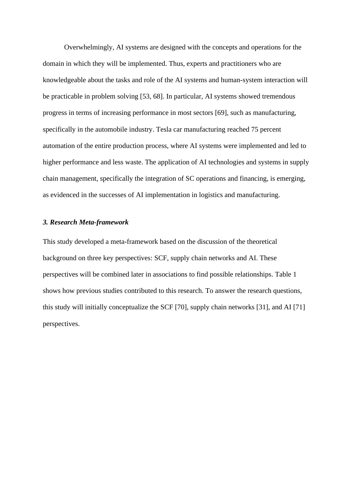Overwhelmingly, AI systems are designed with the concepts and operations for the domain in which they will be implemented. Thus, experts and practitioners who are knowledgeable about the tasks and role of the AI systems and human-system interaction will be practicable in problem solving [53, 68]. In particular, AI systems showed tremendous progress in terms of increasing performance in most sectors [69], such as manufacturing, specifically in the automobile industry. Tesla car manufacturing reached 75 percent automation of the entire production process, where AI systems were implemented and led to higher performance and less waste. The application of AI technologies and systems in supply chain management, specifically the integration of SC operations and financing, is emerging, as evidenced in the successes of AI implementation in logistics and manufacturing.

#### *3. Research Meta-framework*

This study developed a meta-framework based on the discussion of the theoretical background on three key perspectives: SCF, supply chain networks and AI. These perspectives will be combined later in associations to find possible relationships. Table 1 shows how previous studies contributed to this research. To answer the research questions, this study will initially conceptualize the SCF [70], supply chain networks [31], and AI [71] perspectives.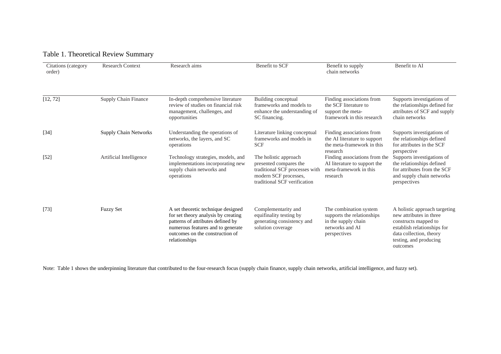| <b>Research Context</b><br>Citations (category<br>order) |                         | Research aims                                                                                                                                                                                           | <b>Benefit to SCF</b>                                                                                                                      | Benefit to supply<br>chain networks                                                                             | Benefit to AI                                                                                                                                                                    |  |
|----------------------------------------------------------|-------------------------|---------------------------------------------------------------------------------------------------------------------------------------------------------------------------------------------------------|--------------------------------------------------------------------------------------------------------------------------------------------|-----------------------------------------------------------------------------------------------------------------|----------------------------------------------------------------------------------------------------------------------------------------------------------------------------------|--|
| [12, 72]                                                 | Supply Chain Finance    | In-depth comprehensive literature<br>review of studies on financial risk<br>management, challenges, and<br>opportunities                                                                                | Building conceptual<br>frameworks and models to<br>enhance the understanding of<br>SC financing.                                           | Finding associations from<br>the SCF literature to<br>support the meta-<br>framework in this research           | Supports investigations of<br>the relationships defined for<br>attributes of SCF and supply<br>chain networks                                                                    |  |
| $[34]$                                                   | Supply Chain Networks   | Understanding the operations of<br>networks, the layers, and SC<br>operations                                                                                                                           | Literature linking conceptual<br>frameworks and models in<br><b>SCF</b>                                                                    | Finding associations from<br>the AI literature to support<br>the meta-framework in this                         | Supports investigations of<br>the relationships defined<br>for attributes in the SCF                                                                                             |  |
| $[52]$                                                   | Artificial Intelligence | Technology strategies, models, and<br>implementations incorporating new<br>supply chain networks and<br>operations                                                                                      | The holistic approach<br>presented compares the<br>traditional SCF processes with<br>modern SCF processes,<br>traditional SCF verification | research<br>Finding associations from the<br>AI literature to support the<br>meta-framework in this<br>research | perspective<br>Supports investigations of<br>the relationships defined<br>for attributes from the SCF<br>and supply chain networks<br>perspectives                               |  |
| [73]                                                     | <b>Fuzzy Set</b>        | A set theoretic technique designed<br>for set theory analysis by creating<br>patterns of attributes defined by<br>numerous features and to generate<br>outcomes on the construction of<br>relationships | Complementarity and<br>equifinality testing by<br>generating consistency and<br>solution coverage                                          | The combination system<br>supports the relationships<br>in the supply chain<br>networks and AI<br>perspectives  | A holistic approach targeting<br>new attributes in three<br>constructs mapped to<br>establish relationships for<br>data collection, theory<br>testing, and producing<br>outcomes |  |

## Table 1. Theoretical Review Summary

Note: Table 1 shows the underpinning literature that contributed to the four-research focus (supply chain finance, supply chain networks, artificial intelligence, and fuzzy set).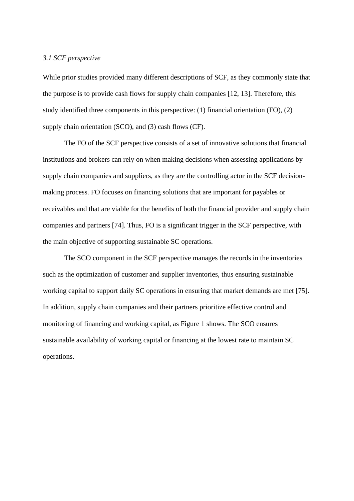#### *3.1 SCF perspective*

While prior studies provided many different descriptions of SCF, as they commonly state that the purpose is to provide cash flows for supply chain companies [12, 13]. Therefore, this study identified three components in this perspective: (1) financial orientation (FO), (2) supply chain orientation (SCO), and (3) cash flows (CF).

The FO of the SCF perspective consists of a set of innovative solutions that financial institutions and brokers can rely on when making decisions when assessing applications by supply chain companies and suppliers, as they are the controlling actor in the SCF decisionmaking process. FO focuses on financing solutions that are important for payables or receivables and that are viable for the benefits of both the financial provider and supply chain companies and partners [74]. Thus, FO is a significant trigger in the SCF perspective, with the main objective of supporting sustainable SC operations.

The SCO component in the SCF perspective manages the records in the inventories such as the optimization of customer and supplier inventories, thus ensuring sustainable working capital to support daily SC operations in ensuring that market demands are met [75]. In addition, supply chain companies and their partners prioritize effective control and monitoring of financing and working capital, as Figure 1 shows. The SCO ensures sustainable availability of working capital or financing at the lowest rate to maintain SC operations.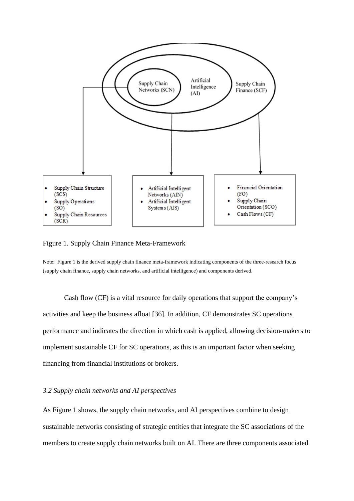

Figure 1. Supply Chain Finance Meta-Framework

Note: Figure 1 is the derived supply chain finance meta-framework indicating components of the three-research focus (supply chain finance, supply chain networks, and artificial intelligence) and components derived.

Cash flow (CF) is a vital resource for daily operations that support the company's activities and keep the business afloat [36]. In addition, CF demonstrates SC operations performance and indicates the direction in which cash is applied, allowing decision-makers to implement sustainable CF for SC operations, as this is an important factor when seeking financing from financial institutions or brokers.

#### *3.2 Supply chain networks and AI perspectives*

As Figure 1 shows, the supply chain networks, and AI perspectives combine to design sustainable networks consisting of strategic entities that integrate the SC associations of the members to create supply chain networks built on AI. There are three components associated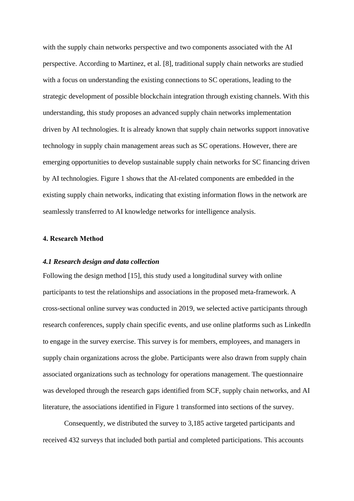with the supply chain networks perspective and two components associated with the AI perspective. According to Martinez, et al. [8], traditional supply chain networks are studied with a focus on understanding the existing connections to SC operations, leading to the strategic development of possible blockchain integration through existing channels. With this understanding, this study proposes an advanced supply chain networks implementation driven by AI technologies. It is already known that supply chain networks support innovative technology in supply chain management areas such as SC operations. However, there are emerging opportunities to develop sustainable supply chain networks for SC financing driven by AI technologies. Figure 1 shows that the AI-related components are embedded in the existing supply chain networks, indicating that existing information flows in the network are seamlessly transferred to AI knowledge networks for intelligence analysis.

#### **4. Research Method**

#### *4.1 Research design and data collection*

Following the design method [15], this study used a longitudinal survey with online participants to test the relationships and associations in the proposed meta-framework. A cross-sectional online survey was conducted in 2019, we selected active participants through research conferences, supply chain specific events, and use online platforms such as LinkedIn to engage in the survey exercise. This survey is for members, employees, and managers in supply chain organizations across the globe. Participants were also drawn from supply chain associated organizations such as technology for operations management. The questionnaire was developed through the research gaps identified from SCF, supply chain networks, and AI literature, the associations identified in Figure 1 transformed into sections of the survey.

Consequently, we distributed the survey to 3,185 active targeted participants and received 432 surveys that included both partial and completed participations. This accounts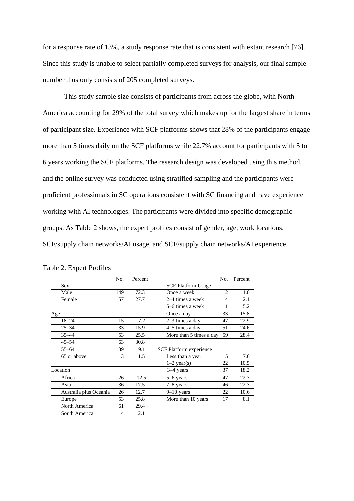for a response rate of 13%, a study response rate that is consistent with extant research [76]. Since this study is unable to select partially completed surveys for analysis, our final sample number thus only consists of 205 completed surveys.

This study sample size consists of participants from across the globe, with North America accounting for 29% of the total survey which makes up for the largest share in terms of participant size. Experience with SCF platforms shows that 28% of the participants engage more than 5 times daily on the SCF platforms while 22.7% account for participants with 5 to 6 years working the SCF platforms. The research design was developed using this method, and the online survey was conducted using stratified sampling and the participants were proficient professionals in SC operations consistent with SC financing and have experience working with AI technologies. The participants were divided into specific demographic groups. As Table 2 shows, the expert profiles consist of gender, age, work locations, SCF/supply chain networks/AI usage, and SCF/supply chain networks/AI experience.

|                        | No.            | Percent |                           | No.                           | Percent |
|------------------------|----------------|---------|---------------------------|-------------------------------|---------|
| <b>Sex</b>             |                |         | <b>SCF Platform Usage</b> |                               |         |
| Male                   | 149            | 72.3    | Once a week               | $\mathfrak{D}_{\mathfrak{p}}$ | 1.0     |
| Female                 | 57             | 27.7    | 2–4 times a week          |                               | 2.1     |
|                        |                |         | 5-6 times a week          | 11                            | 5.2     |
| Age                    |                |         | Once a day                | 33                            | 15.8    |
| $18 - 24$              | 15             | 7.2     | $2-3$ times a day         | 47                            | 22.9    |
| $25 - 34$              | 33             | 15.9    | $4-5$ times a day         | 51                            | 24.6    |
| $35 - 44$              | 53             | 25.5    | More than 5 times a day   | 59                            | 28.4    |
| $45 - 54$              | 63             | 30.8    |                           |                               |         |
| $55 - 64$              | 39             | 19.1    | SCF Platform experience   |                               |         |
| 65 or above            | 3              | 1.5     | Less than a year<br>15    |                               | 7.6     |
|                        |                |         | $1-2$ year(s)             | 22                            | 10.5    |
| Location               |                |         | $3-4$ years               | 37                            | 18.2    |
| Africa                 | 26             | 12.5    | 5–6 years                 | 47                            | 22.7    |
| Asia                   | 36             | 17.5    | $7-8$ years               | 46                            | 22.3    |
| Australia plus Oceania | 26             | 12.7    | $9 - 10$ years            | 22                            | 10.6    |
| Europe                 | 53             | 25.8    | More than 10 years        | 17                            | 8.1     |
| North America          | 61             | 29.4    |                           |                               |         |
| South America          | $\overline{4}$ | 2.1     |                           |                               |         |

Table 2. Expert Profiles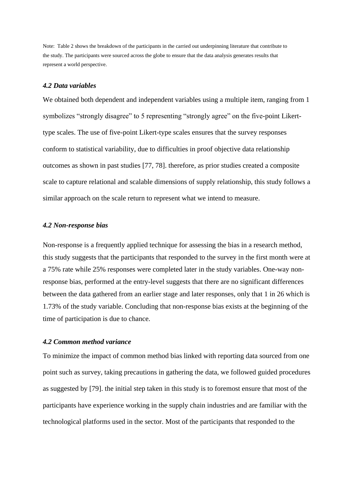Note: Table 2 shows the breakdown of the participants in the carried out underpinning literature that contribute to the study. The participants were sourced across the globe to ensure that the data analysis generates results that represent a world perspective.

#### *4.2 Data variables*

We obtained both dependent and independent variables using a multiple item, ranging from 1 symbolizes "strongly disagree" to 5 representing "strongly agree" on the five-point Likerttype scales. The use of five-point Likert-type scales ensures that the survey responses conform to statistical variability, due to difficulties in proof objective data relationship outcomes as shown in past studies [77, 78]. therefore, as prior studies created a composite scale to capture relational and scalable dimensions of supply relationship, this study follows a similar approach on the scale return to represent what we intend to measure.

#### *4.2 Non-response bias*

Non-response is a frequently applied technique for assessing the bias in a research method, this study suggests that the participants that responded to the survey in the first month were at a 75% rate while 25% responses were completed later in the study variables. One-way nonresponse bias, performed at the entry-level suggests that there are no significant differences between the data gathered from an earlier stage and later responses, only that 1 in 26 which is 1.73% of the study variable. Concluding that non-response bias exists at the beginning of the time of participation is due to chance.

#### *4.2 Common method variance*

To minimize the impact of common method bias linked with reporting data sourced from one point such as survey, taking precautions in gathering the data, we followed guided procedures as suggested by [79]. the initial step taken in this study is to foremost ensure that most of the participants have experience working in the supply chain industries and are familiar with the technological platforms used in the sector. Most of the participants that responded to the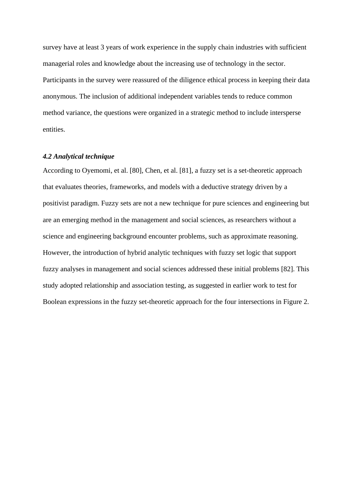survey have at least 3 years of work experience in the supply chain industries with sufficient managerial roles and knowledge about the increasing use of technology in the sector. Participants in the survey were reassured of the diligence ethical process in keeping their data anonymous. The inclusion of additional independent variables tends to reduce common method variance, the questions were organized in a strategic method to include intersperse entities.

#### *4.2 Analytical technique*

According to Oyemomi, et al. [80], Chen, et al. [81], a fuzzy set is a set-theoretic approach that evaluates theories, frameworks, and models with a deductive strategy driven by a positivist paradigm. Fuzzy sets are not a new technique for pure sciences and engineering but are an emerging method in the management and social sciences, as researchers without a science and engineering background encounter problems, such as approximate reasoning. However, the introduction of hybrid analytic techniques with fuzzy set logic that support fuzzy analyses in management and social sciences addressed these initial problems [82]. This study adopted relationship and association testing, as suggested in earlier work to test for Boolean expressions in the fuzzy set-theoretic approach for the four intersections in Figure 2.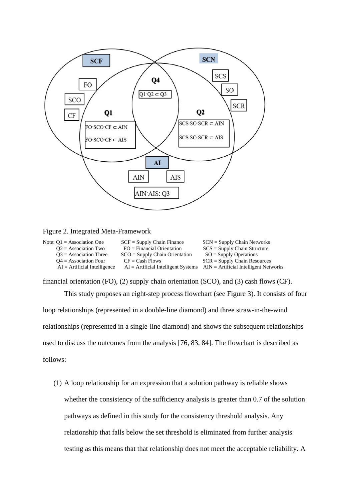

### Figure 2. Integrated Meta-Framework

| Note: $Q1 =$ Association One   | $SCF =$ Supply Chain Finance     | $SCN =$ Supply Chain Networks                                                   |
|--------------------------------|----------------------------------|---------------------------------------------------------------------------------|
| $Q2$ = Association Two         | $FO = Financial$ Orientation     | $SCS =$ Supply Chain Structure                                                  |
| $O3$ = Association Three       | $SCO =$ Supply Chain Orientation | $SO =$ Supply Operations                                                        |
| $Q4 =$ Association Four        | $CF = Cash$ Flows                | $SCR =$ Supply Chain Resources                                                  |
| $AI = Artificial Intelligence$ |                                  | $AI = Artificial Intelligence Systems$ $AIN = Artificial Intelligence Networks$ |

financial orientation (FO), (2) supply chain orientation (SCO), and (3) cash flows (CF).

This study proposes an eight-step process flowchart (see Figure 3). It consists of four loop relationships (represented in a double-line diamond) and three straw-in-the-wind relationships (represented in a single-line diamond) and shows the subsequent relationships used to discuss the outcomes from the analysis [76, 83, 84]. The flowchart is described as follows:

(1) A loop relationship for an expression that a solution pathway is reliable shows whether the consistency of the sufficiency analysis is greater than 0.7 of the solution pathways as defined in this study for the consistency threshold analysis. Any relationship that falls below the set threshold is eliminated from further analysis testing as this means that that relationship does not meet the acceptable reliability. A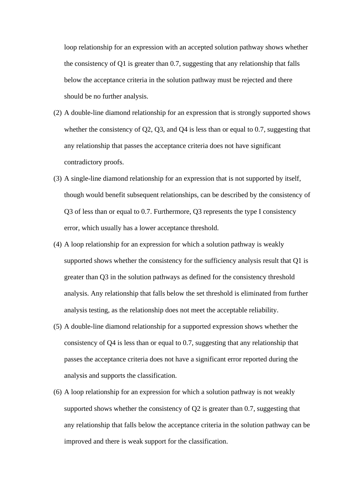loop relationship for an expression with an accepted solution pathway shows whether the consistency of Q1 is greater than 0.7, suggesting that any relationship that falls below the acceptance criteria in the solution pathway must be rejected and there should be no further analysis.

- (2) A double-line diamond relationship for an expression that is strongly supported shows whether the consistency of Q2, Q3, and Q4 is less than or equal to 0.7, suggesting that any relationship that passes the acceptance criteria does not have significant contradictory proofs.
- (3) A single-line diamond relationship for an expression that is not supported by itself, though would benefit subsequent relationships, can be described by the consistency of Q3 of less than or equal to 0.7. Furthermore, Q3 represents the type I consistency error, which usually has a lower acceptance threshold.
- (4) A loop relationship for an expression for which a solution pathway is weakly supported shows whether the consistency for the sufficiency analysis result that Q1 is greater than Q3 in the solution pathways as defined for the consistency threshold analysis. Any relationship that falls below the set threshold is eliminated from further analysis testing, as the relationship does not meet the acceptable reliability.
- (5) A double-line diamond relationship for a supported expression shows whether the consistency of Q4 is less than or equal to 0.7, suggesting that any relationship that passes the acceptance criteria does not have a significant error reported during the analysis and supports the classification.
- (6) A loop relationship for an expression for which a solution pathway is not weakly supported shows whether the consistency of Q2 is greater than 0.7, suggesting that any relationship that falls below the acceptance criteria in the solution pathway can be improved and there is weak support for the classification.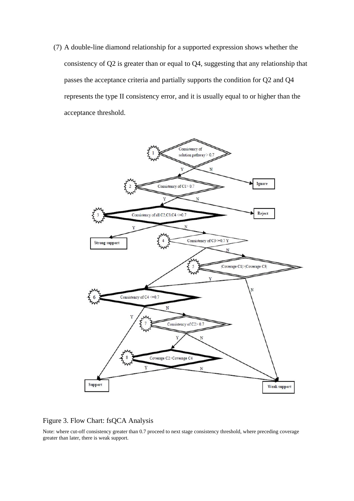(7) A double-line diamond relationship for a supported expression shows whether the consistency of Q2 is greater than or equal to Q4, suggesting that any relationship that passes the acceptance criteria and partially supports the condition for Q2 and Q4 represents the type II consistency error, and it is usually equal to or higher than the acceptance threshold.



## Figure 3. Flow Chart: fsQCA Analysis

Note: where cut-off consistency greater than 0.7 proceed to next stage consistency threshold, where preceding coverage greater than later, there is weak support.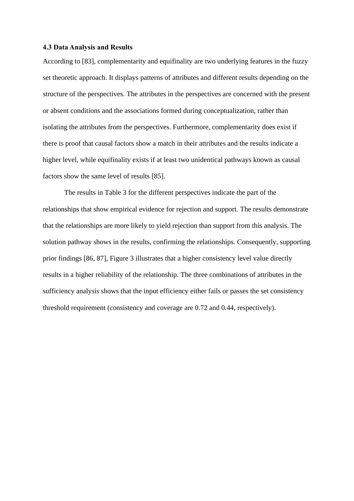#### **4.3 Data Analysis and Results**

According to [83], complementarity and equifinality are two underlying features in the fuzzy set theoretic approach. It displays patterns of attributes and different results depending on the structure of the perspectives. The attributes in the perspectives are concerned with the present or absent conditions and the associations formed during conceptualization, rather than isolating the attributes from the perspectives. Furthermore, complementarity does exist if there is proof that causal factors show a match in their attributes and the results indicate a higher level, while equifinality exists if at least two unidentical pathways known as causal factors show the same level of results [85].

The results in Table 3 for the different perspectives indicate the part of the relationships that show empirical evidence for rejection and support. The results demonstrate that the relationships are more likely to yield rejection than support from this analysis. The solution pathway shows in the results, confirming the relationships. Consequently, supporting prior findings [86, 87], Figure 3 illustrates that a higher consistency level value directly results in a higher reliability of the relationship. The three combinations of attributes in the sufficiency analysis shows that the input efficiency either fails or passes the set consistency threshold requirement (consistency and coverage are 0.72 and 0.44, respectively).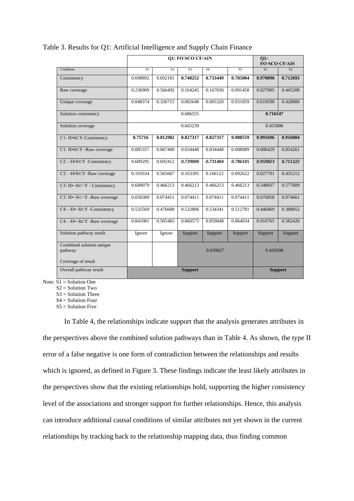|                                                           | <b>01: FO SCO CF/AIN</b>                                        |          |                |          |                | <b>O1:</b><br><b>FO SCO CF/AIS</b> |          |  |
|-----------------------------------------------------------|-----------------------------------------------------------------|----------|----------------|----------|----------------|------------------------------------|----------|--|
| Condition                                                 | S <sub>3</sub><br>S <sub>1</sub><br>S <sub>2</sub><br><b>S4</b> |          |                |          | S <sub>5</sub> | S <sub>1</sub>                     | S2       |  |
|                                                           |                                                                 |          |                |          |                |                                    |          |  |
| Consistency                                               | 0.698892                                                        | 0.692181 | 0.740252       | 0.733449 | 0.785004       | 0.970090                           | 0.712693 |  |
| Raw coverage                                              | 0.236909                                                        | 0.566492 | 0.164245       | 0.167030 | 0.091458       | 0.027005                           | 0.445208 |  |
| Unique coverage                                           | 0.048374                                                        | 0.336715 | 0.002648       | 0.005320 | 0.031859       | 0.010598                           | 0.428800 |  |
| Solution consistency                                      |                                                                 |          | 0.686555       |          |                | 0.716547                           |          |  |
| Solution coverage                                         |                                                                 | 0.665239 |                |          |                |                                    | 0.455806 |  |
| $Cl: H \cdot S \subset Y$ -Consistency                    | 0.75716                                                         | 0.812902 | 0.827317       | 0.827317 | 0.988559       | 0.991696                           | 0.916804 |  |
| $Cl: H \cdot S \subset Y$ -Raw coverage                   | 0.085357                                                        | 0.067400 | 0.034448       | 0.034448 | 0.008089       | 0.006429                           | 0.054261 |  |
| $C2: \neg H \cdot S \subset Y$ -Consistency               | 0.689295                                                        | 0.692412 | 0.739000       | 0.731484 | 0.786105       | 0.959823                           | 0.711222 |  |
| $C2: \neg H \cdot S \subset Y$ -Raw coverage              | 0.191634                                                        | 0.565667 | 0.163395       | 0.166122 | 0.092622       | 0.027701                           | 0.435212 |  |
| $C3: H \rightarrow S \subset \rightarrow Y$ - Consistency | 0.600079                                                        | 0.466213 | 0.466213       | 0.466213 | 0.466213       | 0.548037                           | 0.577609 |  |
| $C3: H \rightarrow S \subseteq Y$ -Raw coverage           | 0.058389                                                        | 0.074411 | 0.074411       | 0.074411 | 0.074411       | 0.076858                           | 0.074661 |  |
| C4: ~ $H \sim S \subset Y$ -Consistency                   | 0.535569                                                        | 0.476600 | 0.532806       | 0.534341 | 0.512781       | 0.446069                           | 0.388852 |  |
| $C4: \neg H \rightarrow S \subset Y$ -Raw coverage        | 0.841081                                                        | 0.505483 | 0.860575       | 0.859848 | 0.864034       | 0.910765                           | 0.582426 |  |
| Solution pathway result                                   | Ignore                                                          | Ignore   | Support        | Support  | Support        | Support                            | Support  |  |
| Combined solution unique<br>pathway<br>Coverage of result |                                                                 |          |                | 0.039827 |                | 0.439398                           |          |  |
| Overall pathway result                                    |                                                                 |          | <b>Support</b> |          |                | <b>Support</b>                     |          |  |
|                                                           |                                                                 |          |                |          |                |                                    |          |  |

## Table 3. Results for Q1: Artificial Intelligence and Supply Chain Finance

Note:  $\overline{S1} =$  Solution One

S2 = Solution Two

 $S3 =$  Solution Three

S4 = Solution Four

 $S_5$  = Solution Five

In Table 4, the relationships indicate support that the analysis generates attributes in the perspectives above the combined solution pathways than in Table 4. As shown, the type II error of a false negative is one form of contradiction between the relationships and results which is ignored, as defined in Figure 3. These findings indicate the least likely attributes in the perspectives show that the existing relationships hold, supporting the higher consistency level of the associations and stronger support for further relationships. Hence, this analysis can introduce additional causal conditions of similar attributes not yet shown in the current relationships by tracking back to the relationship mapping data, thus finding common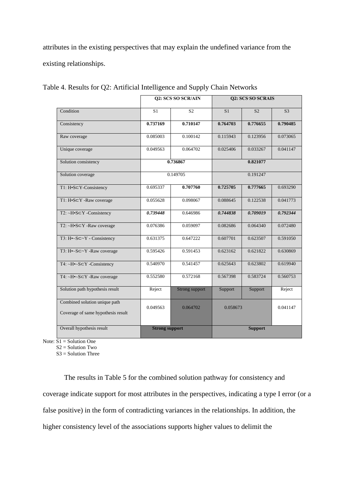attributes in the existing perspectives that may explain the undefined variance from the existing relationships.

|                                                                     |                       | Q2: SCS SO SCR/AIN |                | Q2: SCS SO SCRAIS |                |  |  |
|---------------------------------------------------------------------|-----------------------|--------------------|----------------|-------------------|----------------|--|--|
| Condition                                                           | S <sub>1</sub>        | S <sub>2</sub>     | S <sub>1</sub> | S <sub>2</sub>    | S <sub>3</sub> |  |  |
| Consistency                                                         | 0.737169              | 0.710147           | 0.764703       | 0.776655          | 0.790485       |  |  |
| Raw coverage                                                        | 0.085003              | 0.100142           | 0.115943       | 0.123956          | 0.073065       |  |  |
| Unique coverage                                                     | 0.049563              | 0.064702           | 0.025406       | 0.033267          | 0.041147       |  |  |
| Solution consistency                                                |                       | 0.736867           |                | 0.821077          |                |  |  |
| Solution coverage                                                   |                       | 0.149705           | 0.191247       |                   |                |  |  |
| T1: H•S⊂Y-Consistency                                               | 0.695337              | 0.707760           | 0.725705       | 0.777665          | 0.693290       |  |  |
| T1: H•S⊂Y -Raw coverage                                             | 0.055628              | 0.098067           | 0.088645       | 0.122538          | 0.041773       |  |  |
| T2: ~H•S⊂Y -Consistency                                             | 0.739448              | 0.646986           | 0.744838       | 0.709019          | 0.792344       |  |  |
| $T2: \neg H \cdot S \subset Y$ -Raw coverage                        | 0.076386              | 0.059097           | 0.082686       | 0.064340          | 0.072480       |  |  |
| T3: $H \sim S \subset \sim Y$ - Consistency                         | 0.631375              | 0.647222           | 0.607701       | 0.623507          | 0.591050       |  |  |
| T3: H•~S⊂~Y -Raw coverage                                           | 0.595426              | 0.591453           | 0.623162       | 0.621822          | 0.630869       |  |  |
| $T4: \neg H \rightarrow S \subset Y$ -Consistency                   | 0.540970              | 0.541457           | 0.625643       | 0.623802          | 0.619940       |  |  |
| T4: ~ $H \sim S \subset Y$ -Raw coverage                            | 0.552580              | 0.572168           | 0.567398       | 0.583724          | 0.560753       |  |  |
| Solution path hypothesis result                                     | Reject                | Strong support     | Support        | Support           | Reject         |  |  |
| Combined solution unique path<br>Coverage of same hypothesis result | 0.049563              | 0.064702           |                | 0.058673          |                |  |  |
| Overall hypothesis result                                           | <b>Strong support</b> |                    | <b>Support</b> |                   |                |  |  |

Table 4. Results for Q2: Artificial Intelligence and Supply Chain Networks

Note:  $S1 =$  Solution One

 $S2 =$  Solution Two

S3 = Solution Three

The results in Table 5 for the combined solution pathway for consistency and coverage indicate support for most attributes in the perspectives, indicating a type I error (or a false positive) in the form of contradicting variances in the relationships. In addition, the higher consistency level of the associations supports higher values to delimit the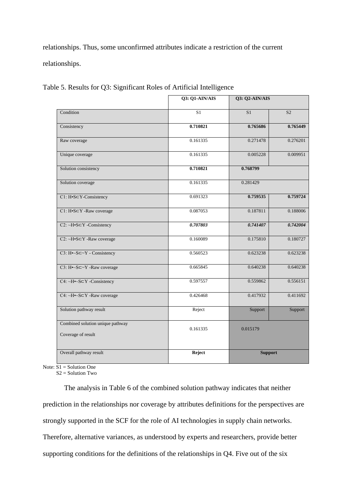relationships. Thus, some unconfirmed attributes indicate a restriction of the current relationships.

|                                                        | Q3: Q1-AIN/AIS | Q3: Q2-AIN/AIS |                |  |
|--------------------------------------------------------|----------------|----------------|----------------|--|
| Condition                                              | S <sub>1</sub> | S <sub>1</sub> | S <sub>2</sub> |  |
| Consistency                                            | 0.710821       | 0.765686       | 0.765449       |  |
| Raw coverage                                           | 0.161335       | 0.271478       | 0.276201       |  |
| Unique coverage                                        | 0.161335       | 0.005228       |                |  |
| Solution consistency                                   | 0.710821       | 0.768799       |                |  |
| Solution coverage                                      | 0.161335       | 0.281429       |                |  |
| C1: H•S⊂Y-Consistency                                  | 0.691323       | 0.759535       | 0.759724       |  |
| C1: H•S⊂Y -Raw coverage                                | 0.087053       | 0.187811       | 0.188006       |  |
| $C2: \neg H \cdot S \subset Y$ -Consistency            | 0.707803       | 0.741407       | 0.742004       |  |
| C2: ~H•S⊂Y -Raw coverage                               | 0.160089       | 0.175810       | 0.180727       |  |
| C3: $H \sim S \subset \sim Y$ - Consistency            | 0.560523       | 0.623238       | 0.623238       |  |
| C3: H•~S⊂~Y -Raw coverage                              | 0.665845       | 0.640238       | 0.640238       |  |
| C4: ~H•~S⊂Y -Consistency                               | 0.597557       | 0.559862       | 0.556151       |  |
| C4: ~ $H \sim S \subset Y$ -Raw coverage               | 0.426468       | 0.417932       | 0.411692       |  |
| Solution pathway result                                | Reject         | Support        | Support        |  |
| Combined solution unique pathway<br>Coverage of result | 0.161335       | 0.015179       |                |  |
| Overall pathway result                                 | Reject         | <b>Support</b> |                |  |

Table 5. Results for Q3: Significant Roles of Artificial Intelligence

Note:  $S1 =$  Solution One

 $S2 =$  Solution Two

The analysis in Table 6 of the combined solution pathway indicates that neither prediction in the relationships nor coverage by attributes definitions for the perspectives are strongly supported in the SCF for the role of AI technologies in supply chain networks. Therefore, alternative variances, as understood by experts and researchers, provide better supporting conditions for the definitions of the relationships in Q4. Five out of the six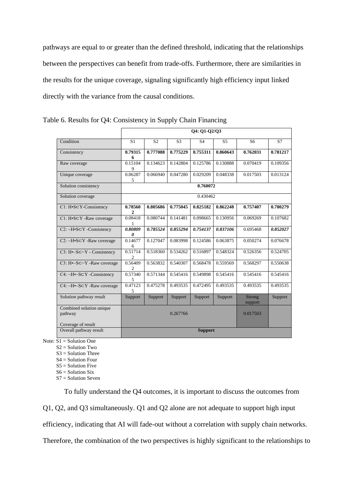pathways are equal to or greater than the defined threshold, indicating that the relationships between the perspectives can benefit from trade-offs. Furthermore, there are similarities in the results for the unique coverage, signaling significantly high efficiency input linked directly with the variance from the causal conditions.

|                                                    | Q4: Q1-Q2/Q3              |                |                |                |                |                   |          |  |
|----------------------------------------------------|---------------------------|----------------|----------------|----------------|----------------|-------------------|----------|--|
| Condition                                          | S <sub>1</sub>            | S <sub>2</sub> | S <sub>3</sub> | S <sub>4</sub> | S <sub>5</sub> | S6                | S7       |  |
| Consistency                                        | 0.79315<br>6              | 0.777088       | 0.775229       | 0.755311       | 0.860643       | 0.762031          | 0.781217 |  |
| Raw coverage                                       | 0.15104<br>9              | 0.134623       | 0.142804       | 0.125786       | 0.130888       | 0.070419          | 0.109356 |  |
| Unique coverage                                    | 0.06287<br>5              | 0.066940       | 0.047280       | 0.029209       | 0.048338       | 0.017503          | 0.013124 |  |
| Solution consistency                               | 0.760072                  |                |                |                |                |                   |          |  |
| Solution coverage                                  |                           |                |                | 0.430462       |                |                   |          |  |
| C1: H•S⊂Y-Consistency                              | 0.78560<br>2              | 0.805686       | 0.775045       | 0.825182       | 0.862248       | 0.757407          | 0.780279 |  |
| $Cl: H \cdot S \subset Y$ -Raw coverage            | 0.08418                   | 0.080744       | 0.141481       | 0.098665       | 0.130956       | 0.069269          | 0.107682 |  |
| $C2: \neg H \cdot S \subset Y$ -Consistency        | 0.80809<br>0              | 0.785524       | 0.855294       | 0.754137       | 0.837106       | 0.695468          | 0.852027 |  |
| $C2: \neg H \cdot S \subset Y$ -Raw coverage       | 0.14677<br>6              | 0.127047       | 0.083998       | 0.124586       | 0.063875       | 0.050274          | 0.076678 |  |
| C3: $H \sim S \subset \sim Y$ - Consistency        | 0.51714<br>$\mathfrak{D}$ | 0.518360       | 0.534262       | 0.516897       | 0.548324       | 0.526356          | 0.524705 |  |
| $C3: H \rightarrow S \subseteq Y$ -Raw coverage    | 0.56409<br>2              | 0.563832       | 0.540307       | 0.568478       | 0.559569       | 0.568297          | 0.550638 |  |
| $C4: \sim H \sim S \subset Y$ -Consistency         | 0.57340<br>5              | 0.571344       | 0.545416       | 0.549898       | 0.545416       | 0.545416          | 0.545416 |  |
| $C4: \neg H \rightarrow S \subset Y$ -Raw coverage | 0.47123<br>5              | 0.475278       | 0.493535       | 0.472495       | 0.493535       | 0.493535          | 0.493535 |  |
| Solution pathway result                            | Support                   | Support        | Support        | Support        | Support        | Strong<br>support | Support  |  |
| Combined solution unique<br>pathway                |                           |                | 0.267766       |                |                | 0.017503          |          |  |
| Coverage of result                                 |                           |                |                |                |                |                   |          |  |
| Overall pathway result                             | <b>Support</b>            |                |                |                |                |                   |          |  |

Table 6. Results for Q4: Consistency in Supply Chain Financing

Note:  $\overline{S1}$  = Solution One

- S2 = Solution Two
- S3 = Solution Three
- S4 = Solution Four
- $S5 =$  Solution Five
- $S6 =$  Solution Six
- S7 = Solution Seven

To fully understand the Q4 outcomes, it is important to discuss the outcomes from

Q1, Q2, and Q3 simultaneously. Q1 and Q2 alone are not adequate to support high input

efficiency, indicating that AI will fade-out without a correlation with supply chain networks.

Therefore, the combination of the two perspectives is highly significant to the relationships to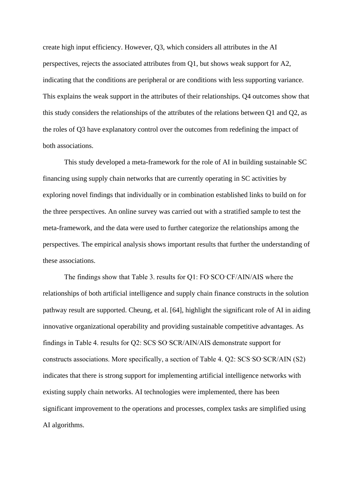create high input efficiency. However, Q3, which considers all attributes in the AI perspectives, rejects the associated attributes from Q1, but shows weak support for A2, indicating that the conditions are peripheral or are conditions with less supporting variance. This explains the weak support in the attributes of their relationships. Q4 outcomes show that this study considers the relationships of the attributes of the relations between Q1 and Q2, as the roles of Q3 have explanatory control over the outcomes from redefining the impact of both associations.

This study developed a meta-framework for the role of AI in building sustainable SC financing using supply chain networks that are currently operating in SC activities by exploring novel findings that individually or in combination established links to build on for the three perspectives. An online survey was carried out with a stratified sample to test the meta-framework, and the data were used to further categorize the relationships among the perspectives. The empirical analysis shows important results that further the understanding of these associations.

The findings show that Table 3. results for O1: FO SCO CF/AIN/AIS where the relationships of both artificial intelligence and supply chain finance constructs in the solution pathway result are supported. Cheung, et al. [64], highlight the significant role of AI in aiding innovative organizational operability and providing sustainable competitive advantages. As findings in Table 4. results for Q2: SCSˑSOˑSCR/AIN/AIS demonstrate support for constructs associations. More specifically, a section of Table 4. Q2: SCSˑSOˑSCR/AIN (S2) indicates that there is strong support for implementing artificial intelligence networks with existing supply chain networks. AI technologies were implemented, there has been significant improvement to the operations and processes, complex tasks are simplified using AI algorithms.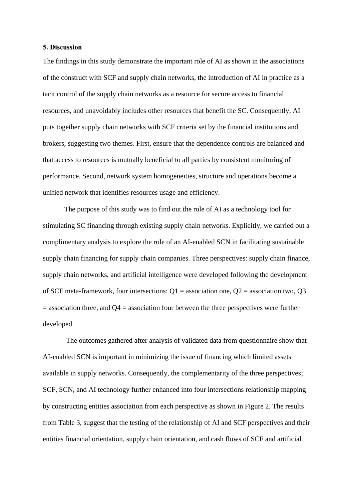#### **5. Discussion**

The findings in this study demonstrate the important role of AI as shown in the associations of the construct with SCF and supply chain networks, the introduction of AI in practice as a tacit control of the supply chain networks as a resource for secure access to financial resources, and unavoidably includes other resources that benefit the SC. Consequently, AI puts together supply chain networks with SCF criteria set by the financial institutions and brokers, suggesting two themes. First, ensure that the dependence controls are balanced and that access to resources is mutually beneficial to all parties by consistent monitoring of performance. Second, network system homogeneities, structure and operations become a unified network that identifies resources usage and efficiency.

The purpose of this study was to find out the role of AI as a technology tool for stimulating SC financing through existing supply chain networks. Explicitly, we carried out a complimentary analysis to explore the role of an AI-enabled SCN in facilitating sustainable supply chain financing for supply chain companies. Three perspectives: supply chain finance, supply chain networks, and artificial intelligence were developed following the development of SCF meta-framework, four intersections:  $Q1$  = association one,  $Q2$  = association two,  $Q3$  $=$  association three, and Q4  $=$  association four between the three perspectives were further developed.

The outcomes gathered after analysis of validated data from questionnaire show that AI-enabled SCN is important in minimizing the issue of financing which limited assets available in supply networks. Consequently, the complementarity of the three perspectives; SCF, SCN, and AI technology further enhanced into four intersections relationship mapping by constructing entities association from each perspective as shown in Figure 2. The results from Table 3, suggest that the testing of the relationship of AI and SCF perspectives and their entities financial orientation, supply chain orientation, and cash flows of SCF and artificial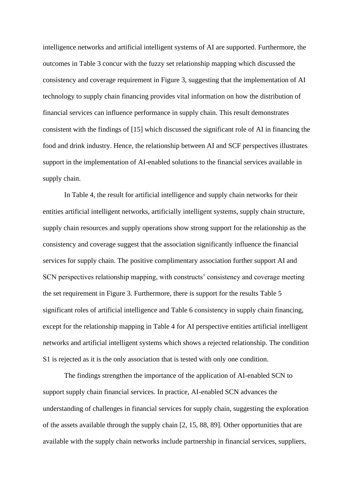intelligence networks and artificial intelligent systems of AI are supported. Furthermore, the outcomes in Table 3 concur with the fuzzy set relationship mapping which discussed the consistency and coverage requirement in Figure 3, suggesting that the implementation of AI technology to supply chain financing provides vital information on how the distribution of financial services can influence performance in supply chain. This result demonstrates consistent with the findings of [15] which discussed the significant role of AI in financing the food and drink industry. Hence, the relationship between AI and SCF perspectives illustrates support in the implementation of AI-enabled solutions to the financial services available in supply chain.

In Table 4, the result for artificial intelligence and supply chain networks for their entities artificial intelligent networks, artificially intelligent systems, supply chain structure, supply chain resources and supply operations show strong support for the relationship as the consistency and coverage suggest that the association significantly influence the financial services for supply chain. The positive complimentary association further support AI and SCN perspectives relationship mapping, with constructs' consistency and coverage meeting the set requirement in Figure 3. Furthermore, there is support for the results Table 5 significant roles of artificial intelligence and Table 6 consistency in supply chain financing, except for the relationship mapping in Table 4 for AI perspective entities artificial intelligent networks and artificial intelligent systems which shows a rejected relationship. The condition S1 is rejected as it is the only association that is tested with only one condition.

The findings strengthen the importance of the application of AI-enabled SCN to support supply chain financial services. In practice, AI-enabled SCN advances the understanding of challenges in financial services for supply chain, suggesting the exploration of the assets available through the supply chain [2, 15, 88, 89]. Other opportunities that are available with the supply chain networks include partnership in financial services, suppliers,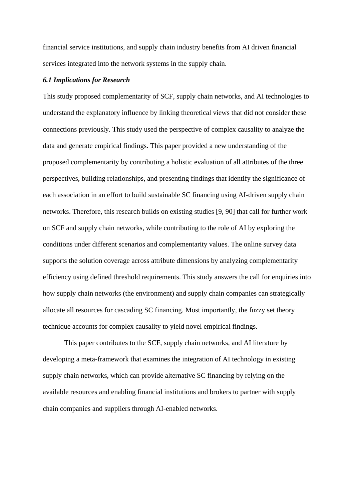financial service institutions, and supply chain industry benefits from AI driven financial services integrated into the network systems in the supply chain.

#### *6.1 Implications for Research*

This study proposed complementarity of SCF, supply chain networks, and AI technologies to understand the explanatory influence by linking theoretical views that did not consider these connections previously. This study used the perspective of complex causality to analyze the data and generate empirical findings. This paper provided a new understanding of the proposed complementarity by contributing a holistic evaluation of all attributes of the three perspectives, building relationships, and presenting findings that identify the significance of each association in an effort to build sustainable SC financing using AI-driven supply chain networks. Therefore, this research builds on existing studies [9, 90] that call for further work on SCF and supply chain networks, while contributing to the role of AI by exploring the conditions under different scenarios and complementarity values. The online survey data supports the solution coverage across attribute dimensions by analyzing complementarity efficiency using defined threshold requirements. This study answers the call for enquiries into how supply chain networks (the environment) and supply chain companies can strategically allocate all resources for cascading SC financing. Most importantly, the fuzzy set theory technique accounts for complex causality to yield novel empirical findings.

This paper contributes to the SCF, supply chain networks, and AI literature by developing a meta-framework that examines the integration of AI technology in existing supply chain networks, which can provide alternative SC financing by relying on the available resources and enabling financial institutions and brokers to partner with supply chain companies and suppliers through AI-enabled networks.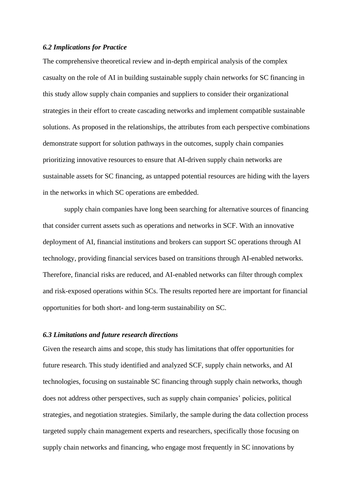#### *6.2 Implications for Practice*

The comprehensive theoretical review and in-depth empirical analysis of the complex casualty on the role of AI in building sustainable supply chain networks for SC financing in this study allow supply chain companies and suppliers to consider their organizational strategies in their effort to create cascading networks and implement compatible sustainable solutions. As proposed in the relationships, the attributes from each perspective combinations demonstrate support for solution pathways in the outcomes, supply chain companies prioritizing innovative resources to ensure that AI-driven supply chain networks are sustainable assets for SC financing, as untapped potential resources are hiding with the layers in the networks in which SC operations are embedded.

supply chain companies have long been searching for alternative sources of financing that consider current assets such as operations and networks in SCF. With an innovative deployment of AI, financial institutions and brokers can support SC operations through AI technology, providing financial services based on transitions through AI-enabled networks. Therefore, financial risks are reduced, and AI-enabled networks can filter through complex and risk-exposed operations within SCs. The results reported here are important for financial opportunities for both short- and long-term sustainability on SC.

#### *6.3 Limitations and future research directions*

Given the research aims and scope, this study has limitations that offer opportunities for future research. This study identified and analyzed SCF, supply chain networks, and AI technologies, focusing on sustainable SC financing through supply chain networks, though does not address other perspectives, such as supply chain companies' policies, political strategies, and negotiation strategies. Similarly, the sample during the data collection process targeted supply chain management experts and researchers, specifically those focusing on supply chain networks and financing, who engage most frequently in SC innovations by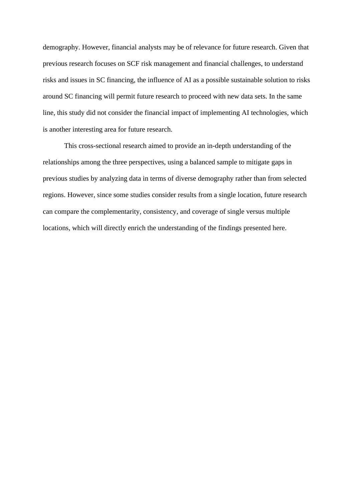demography. However, financial analysts may be of relevance for future research. Given that previous research focuses on SCF risk management and financial challenges, to understand risks and issues in SC financing, the influence of AI as a possible sustainable solution to risks around SC financing will permit future research to proceed with new data sets. In the same line, this study did not consider the financial impact of implementing AI technologies, which is another interesting area for future research.

This cross-sectional research aimed to provide an in-depth understanding of the relationships among the three perspectives, using a balanced sample to mitigate gaps in previous studies by analyzing data in terms of diverse demography rather than from selected regions. However, since some studies consider results from a single location, future research can compare the complementarity, consistency, and coverage of single versus multiple locations, which will directly enrich the understanding of the findings presented here.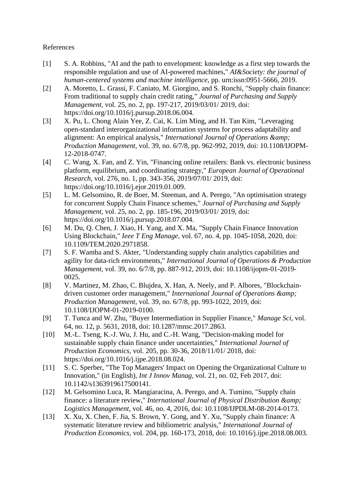## References

- [1] S. A. Robbins, "AI and the path to envelopment: knowledge as a first step towards the responsible regulation and use of AI-powered machines," *AI&Society: the journal of human-centered systems and machine intelligence,* pp. urn:issn:0951-5666, 2019.
- [2] A. Moretto, L. Grassi, F. Caniato, M. Giorgino, and S. Ronchi, "Supply chain finance: From traditional to supply chain credit rating," *Journal of Purchasing and Supply Management,* vol. 25, no. 2, pp. 197-217, 2019/03/01/ 2019, doi: https://doi.org/10.1016/j.pursup.2018.06.004.
- [3] X. Pu, L. Chong Alain Yee, Z. Cai, K. Lim Ming, and H. Tan Kim, "Leveraging open-standard interorganizational information systems for process adaptability and alignment: An empirical analysis," *International Journal of Operations & Production Management,* vol. 39, no. 6/7/8, pp. 962-992, 2019, doi: 10.1108/IJOPM-12-2018-0747.
- [4] C. Wang, X. Fan, and Z. Yin, "Financing online retailers: Bank vs. electronic business platform, equilibrium, and coordinating strategy," *European Journal of Operational Research,* vol. 276, no. 1, pp. 343-356, 2019/07/01/ 2019, doi: https://doi.org/10.1016/j.ejor.2019.01.009.
- [5] L. M. Gelsomino, R. de Boer, M. Steeman, and A. Perego, "An optimisation strategy for concurrent Supply Chain Finance schemes," *Journal of Purchasing and Supply Management,* vol. 25, no. 2, pp. 185-196, 2019/03/01/ 2019, doi: https://doi.org/10.1016/j.pursup.2018.07.004.
- [6] M. Du, Q. Chen, J. Xiao, H. Yang, and X. Ma, "Supply Chain Finance Innovation Using Blockchain," *Ieee T Eng Manage,* vol. 67, no. 4, pp. 1045-1058, 2020, doi: 10.1109/TEM.2020.2971858.
- [7] S. F. Wamba and S. Akter, "Understanding supply chain analytics capabilities and agility for data-rich environments," *International Journal of Operations & Production Management,* vol. 39, no. 6/7/8, pp. 887-912, 2019, doi: 10.1108/ijopm-01-2019- 0025.
- [8] V. Martinez, M. Zhao, C. Blujdea, X. Han, A. Neely, and P. Albores, "Blockchaindriven customer order management," *International Journal of Operations & Production Management,* vol. 39, no. 6/7/8, pp. 993-1022, 2019, doi: 10.1108/IJOPM-01-2019-0100.
- [9] T. Tunca and W. Zhu, "Buyer Intermediation in Supplier Finance," *Manage Sci,* vol. 64, no. 12, p. 5631, 2018, doi: 10.1287/mnsc.2017.2863.
- [10] M.-L. Tseng, K.-J. Wu, J. Hu, and C.-H. Wang, "Decision-making model for sustainable supply chain finance under uncertainties," *International Journal of Production Economics,* vol. 205, pp. 30-36, 2018/11/01/ 2018, doi: https://doi.org/10.1016/j.ijpe.2018.08.024.
- [11] S. C. Sperber, "The Top Managers' Impact on Opening the Organizational Culture to Innovation," (in English), *Int J Innov Manag,* vol. 21, no. 02, Feb 2017, doi: 10.1142/s1363919617500141.
- [12] M. Gelsomino Luca, R. Mangiaracina, A. Perego, and A. Tumino, "Supply chain finance: a literature review," *International Journal of Physical Distribution & amp*; *Logistics Management,* vol. 46, no. 4, 2016, doi: 10.1108/IJPDLM-08-2014-0173.
- [13] X. Xu, X. Chen, F. Jia, S. Brown, Y. Gong, and Y. Xu, "Supply chain finance: A systematic literature review and bibliometric analysis," *International Journal of Production Economics,* vol. 204, pp. 160-173, 2018, doi: 10.1016/j.ijpe.2018.08.003.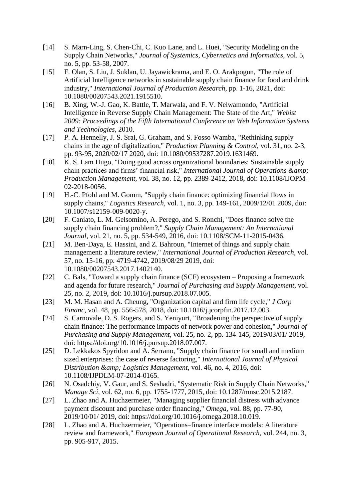- [14] S. Marn-Ling, S. Chen-Chi, C. Kuo Lane, and L. Huei, "Security Modeling on the Supply Chain Networks," *Journal of Systemics, Cybernetics and Informatics,* vol. 5, no. 5, pp. 53-58, 2007.
- [15] F. Olan, S. Liu, J. Suklan, U. Jayawickrama, and E. O. Arakpogun, "The role of Artificial Intelligence networks in sustainable supply chain finance for food and drink industry," *International Journal of Production Research,* pp. 1-16, 2021, doi: 10.1080/00207543.2021.1915510.
- [16] B. Xing, W.-J. Gao, K. Battle, T. Marwala, and F. V. Nelwamondo, "Artificial Intelligence in Reverse Supply Chain Management: The State of the Art," *Webist 2009: Proceedings of the Fifth International Conference on Web Information Systems and Technologies,* 2010.
- [17] P. A. Hennelly, J. S. Srai, G. Graham, and S. Fosso Wamba, "Rethinking supply chains in the age of digitalization," *Production Planning & Control,* vol. 31, no. 2-3, pp. 93-95, 2020/02/17 2020, doi: 10.1080/09537287.2019.1631469.
- [18] K. S. Lam Hugo, "Doing good across organizational boundaries: Sustainable supply chain practices and firms' financial risk," *International Journal of Operations & Production Management,* vol. 38, no. 12, pp. 2389-2412, 2018, doi: 10.1108/IJOPM-02-2018-0056.
- [19] H.-C. Pfohl and M. Gomm, "Supply chain finance: optimizing financial flows in supply chains," *Logistics Research,* vol. 1, no. 3, pp. 149-161, 2009/12/01 2009, doi: 10.1007/s12159-009-0020-y.
- [20] F. Caniato, L. M. Gelsomino, A. Perego, and S. Ronchi, "Does finance solve the supply chain financing problem?," *Supply Chain Management: An International Journal,* vol. 21, no. 5, pp. 534-549, 2016, doi: 10.1108/SCM-11-2015-0436.
- [21] M. Ben-Daya, E. Hassini, and Z. Bahroun, "Internet of things and supply chain management: a literature review," *International Journal of Production Research,* vol. 57, no. 15-16, pp. 4719-4742, 2019/08/29 2019, doi: 10.1080/00207543.2017.1402140.
- [22] C. Bals, "Toward a supply chain finance (SCF) ecosystem Proposing a framework and agenda for future research," *Journal of Purchasing and Supply Management,* vol. 25, no. 2, 2019, doi: 10.1016/j.pursup.2018.07.005.
- [23] M. M. Hasan and A. Cheung, "Organization capital and firm life cycle," *J Corp Financ,* vol. 48, pp. 556-578, 2018, doi: 10.1016/j.jcorpfin.2017.12.003.
- [24] S. Carnovale, D. S. Rogers, and S. Yeniyurt, "Broadening the perspective of supply chain finance: The performance impacts of network power and cohesion," *Journal of Purchasing and Supply Management,* vol. 25, no. 2, pp. 134-145, 2019/03/01/ 2019, doi: https://doi.org/10.1016/j.pursup.2018.07.007.
- [25] D. Lekkakos Spyridon and A. Serrano, "Supply chain finance for small and medium sized enterprises: the case of reverse factoring," *International Journal of Physical Distribution & Logistics Management,* vol. 46, no. 4, 2016, doi: 10.1108/IJPDLM-07-2014-0165.
- [26] N. Osadchiy, V. Gaur, and S. Seshadri, "Systematic Risk in Supply Chain Networks," *Manage Sci,* vol. 62, no. 6, pp. 1755-1777, 2015, doi: 10.1287/mnsc.2015.2187.
- [27] L. Zhao and A. Huchzermeier, "Managing supplier financial distress with advance payment discount and purchase order financing," *Omega,* vol. 88, pp. 77-90, 2019/10/01/ 2019, doi: https://doi.org/10.1016/j.omega.2018.10.019.
- [28] L. Zhao and A. Huchzermeier, "Operations–finance interface models: A literature review and framework," *European Journal of Operational Research,* vol. 244, no. 3, pp. 905-917, 2015.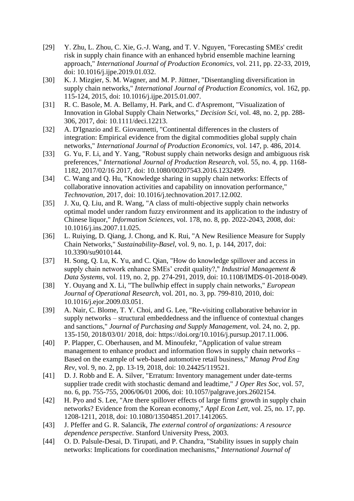- [29] Y. Zhu, L. Zhou, C. Xie, G.-J. Wang, and T. V. Nguyen, "Forecasting SMEs' credit risk in supply chain finance with an enhanced hybrid ensemble machine learning approach," *International Journal of Production Economics,* vol. 211, pp. 22-33, 2019, doi: 10.1016/j.ijpe.2019.01.032.
- [30] K. J. Mizgier, S. M. Wagner, and M. P. Jüttner, "Disentangling diversification in supply chain networks," *International Journal of Production Economics,* vol. 162, pp. 115-124, 2015, doi: 10.1016/j.ijpe.2015.01.007.
- [31] R. C. Basole, M. A. Bellamy, H. Park, and C. d'Aspremont, "Visualization of Innovation in Global Supply Chain Networks," *Decision Sci,* vol. 48, no. 2, pp. 288- 306, 2017, doi: 10.1111/deci.12213.
- [32] A. D'Ignazio and E. Giovannetti, "Continental differences in the clusters of integration: Empirical evidence from the digital commodities global supply chain networks," *International Journal of Production Economics,* vol. 147, p. 486, 2014.
- [33] G. Yu, F. Li, and Y. Yang, "Robust supply chain networks design and ambiguous risk preferences," *International Journal of Production Research,* vol. 55, no. 4, pp. 1168- 1182, 2017/02/16 2017, doi: 10.1080/00207543.2016.1232499.
- [34] C. Wang and Q. Hu, "Knowledge sharing in supply chain networks: Effects of collaborative innovation activities and capability on innovation performance," *Technovation,* 2017, doi: 10.1016/j.technovation.2017.12.002.
- [35] J. Xu, Q. Liu, and R. Wang, "A class of multi-objective supply chain networks optimal model under random fuzzy environment and its application to the industry of Chinese liquor," *Information Sciences,* vol. 178, no. 8, pp. 2022-2043, 2008, doi: 10.1016/j.ins.2007.11.025.
- [36] L. Ruiying, D. Qiang, J. Chong, and K. Rui, "A New Resilience Measure for Supply Chain Networks," *Sustainability-Basel,* vol. 9, no. 1, p. 144, 2017, doi: 10.3390/su9010144.
- [37] H. Song, Q. Lu, K. Yu, and C. Qian, "How do knowledge spillover and access in supply chain network enhance SMEs' credit quality?," *Industrial Management & Data Systems,* vol. 119, no. 2, pp. 274-291, 2019, doi: 10.1108/IMDS-01-2018-0049.
- [38] Y. Ouyang and X. Li, "The bullwhip effect in supply chain networks," *European Journal of Operational Research,* vol. 201, no. 3, pp. 799-810, 2010, doi: 10.1016/j.ejor.2009.03.051.
- [39] A. Nair, C. Blome, T. Y. Choi, and G. Lee, "Re-visiting collaborative behavior in supply networks – structural embeddedness and the influence of contextual changes and sanctions," *Journal of Purchasing and Supply Management,* vol. 24, no. 2, pp. 135-150, 2018/03/01/ 2018, doi: https://doi.org/10.1016/j.pursup.2017.11.006.
- [40] P. Plapper, C. Oberhausen, and M. Minoufekr, "Application of value stream management to enhance product and information flows in supply chain networks – Based on the example of web-based automotive retail business," *Manag Prod Eng Rev,* vol. 9, no. 2, pp. 13-19, 2018, doi: 10.24425/119521.
- [41] D. J. Robb and E. A. Silver, "Erratum: Inventory management under date-terms supplier trade credit with stochastic demand and leadtime," *J Oper Res Soc,* vol. 57, no. 6, pp. 755-755, 2006/06/01 2006, doi: 10.1057/palgrave.jors.2602154.
- [42] H. Pyo and S. Lee, "Are there spillover effects of large firms' growth in supply chain networks? Evidence from the Korean economy," *Appl Econ Lett,* vol. 25, no. 17, pp. 1208-1211, 2018, doi: 10.1080/13504851.2017.1412065.
- [43] J. Pfeffer and G. R. Salancik, *The external control of organizations: A resource dependence perspective*. Stanford University Press, 2003.
- [44] O. D. Palsule-Desai, D. Tirupati, and P. Chandra, "Stability issues in supply chain networks: Implications for coordination mechanisms," *International Journal of*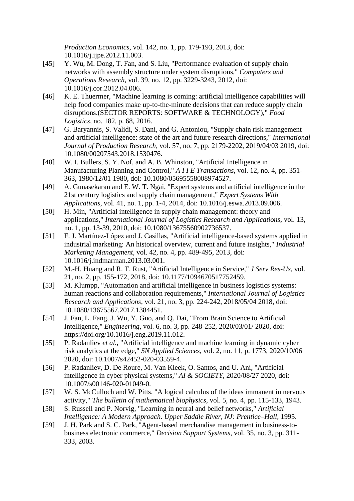*Production Economics,* vol. 142, no. 1, pp. 179-193, 2013, doi: 10.1016/j.ijpe.2012.11.003.

- [45] Y. Wu, M. Dong, T. Fan, and S. Liu, "Performance evaluation of supply chain networks with assembly structure under system disruptions," *Computers and Operations Research,* vol. 39, no. 12, pp. 3229-3243, 2012, doi: 10.1016/j.cor.2012.04.006.
- [46] K. E. Thuermer, "Machine learning is coming: artificial intelligence capabilities will help food companies make up-to-the-minute decisions that can reduce supply chain disruptions.(SECTOR REPORTS: SOFTWARE & TECHNOLOGY)," *Food Logistics,* no. 182, p. 68, 2016.
- [47] G. Baryannis, S. Validi, S. Dani, and G. Antoniou, "Supply chain risk management and artificial intelligence: state of the art and future research directions," *International Journal of Production Research,* vol. 57, no. 7, pp. 2179-2202, 2019/04/03 2019, doi: 10.1080/00207543.2018.1530476.
- [48] W. I. Bullers, S. Y. Nof, and A. B. Whinston, "Artificial Intelligence in Manufacturing Planning and Control," *A I I E Transactions,* vol. 12, no. 4, pp. 351- 363, 1980/12/01 1980, doi: 10.1080/05695558008974527.
- [49] A. Gunasekaran and E. W. T. Ngai, "Expert systems and artificial intelligence in the 21st century logistics and supply chain management," *Expert Systems With Applications,* vol. 41, no. 1, pp. 1-4, 2014, doi: 10.1016/j.eswa.2013.09.006.
- [50] H. Min, "Artificial intelligence in supply chain management: theory and applications," *International Journal of Logistics Research and Applications,* vol. 13, no. 1, pp. 13-39, 2010, doi: 10.1080/13675560902736537.
- [51] F. J. Martínez-López and J. Casillas, "Artificial intelligence-based systems applied in industrial marketing: An historical overview, current and future insights," *Industrial Marketing Management,* vol. 42, no. 4, pp. 489-495, 2013, doi: 10.1016/j.indmarman.2013.03.001.
- [52] M.-H. Huang and R. T. Rust, "Artificial Intelligence in Service," *J Serv Res-Us,* vol. 21, no. 2, pp. 155-172, 2018, doi: 10.1177/1094670517752459.
- [53] M. Klumpp, "Automation and artificial intelligence in business logistics systems: human reactions and collaboration requirements," *International Journal of Logistics Research and Applications,* vol. 21, no. 3, pp. 224-242, 2018/05/04 2018, doi: 10.1080/13675567.2017.1384451.
- [54] J. Fan, L. Fang, J. Wu, Y. Guo, and Q. Dai, "From Brain Science to Artificial Intelligence," *Engineering,* vol. 6, no. 3, pp. 248-252, 2020/03/01/ 2020, doi: https://doi.org/10.1016/j.eng.2019.11.012.
- [55] P. Radanliev *et al.*, "Artificial intelligence and machine learning in dynamic cyber risk analytics at the edge," *SN Applied Sciences,* vol. 2, no. 11, p. 1773, 2020/10/06 2020, doi: 10.1007/s42452-020-03559-4.
- [56] P. Radanliev, D. De Roure, M. Van Kleek, O. Santos, and U. Ani, "Artificial intelligence in cyber physical systems," *AI & SOCIETY,* 2020/08/27 2020, doi: 10.1007/s00146-020-01049-0.
- [57] W. S. McCulloch and W. Pitts, "A logical calculus of the ideas immanent in nervous activity," *The bulletin of mathematical biophysics,* vol. 5, no. 4, pp. 115-133, 1943.
- [58] S. Russell and P. Norvig, "Learning in neural and belief networks," *Artificial Intelligence: A Modern Approach. Upper Saddle River, NJ: Prentice–Hall, 1995.*
- [59] J. H. Park and S. C. Park, "Agent-based merchandise management in business-tobusiness electronic commerce," *Decision Support Systems,* vol. 35, no. 3, pp. 311- 333, 2003.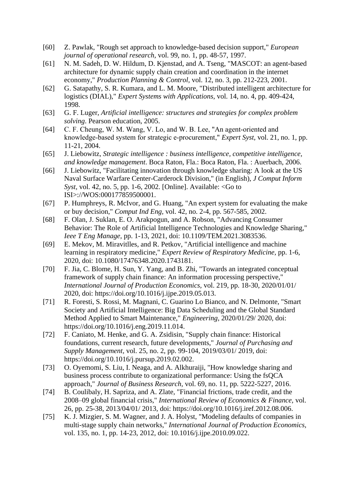- [60] Z. Pawlak, "Rough set approach to knowledge-based decision support," *European journal of operational research,* vol. 99, no. 1, pp. 48-57, 1997.
- [61] N. M. Sadeh, D. W. Hildum, D. Kjenstad, and A. Tseng, "MASCOT: an agent-based architecture for dynamic supply chain creation and coordination in the internet economy," *Production Planning & Control,* vol. 12, no. 3, pp. 212-223, 2001.
- [62] G. Satapathy, S. R. Kumara, and L. M. Moore, "Distributed intelligent architecture for logistics (DIAL)," *Expert Systems with Applications,* vol. 14, no. 4, pp. 409-424, 1998.
- [63] G. F. Luger, *Artificial intelligence: structures and strategies for complex problem solving*. Pearson education, 2005.
- [64] C. F. Cheung, W. M. Wang, V. Lo, and W. B. Lee, "An agent-oriented and knowledge‐based system for strategic e‐procurement," *Expert Syst,* vol. 21, no. 1, pp. 11-21, 2004.
- [65] J. Liebowitz, *Strategic intelligence : business intelligence, competitive intelligence, and knowledge management*. Boca Raton, Fla.: Boca Raton, Fla. : Auerbach, 2006.
- [66] J. Liebowitz, "Facilitating innovation through knowledge sharing: A look at the US Naval Surface Warfare Center-Carderock Division," (in English), *J Comput Inform Syst,* vol. 42, no. 5, pp. 1-6, 2002. [Online]. Available: <Go to ISI>://WOS:000177859500001.
- [67] P. Humphreys, R. McIvor, and G. Huang, "An expert system for evaluating the make or buy decision," *Comput Ind Eng,* vol. 42, no. 2-4, pp. 567-585, 2002.
- [68] F. Olan, J. Suklan, E. O. Arakpogun, and A. Robson, "Advancing Consumer Behavior: The Role of Artificial Intelligence Technologies and Knowledge Sharing," *Ieee T Eng Manage,* pp. 1-13, 2021, doi: 10.1109/TEM.2021.3083536.
- [69] E. Mekov, M. Miravitlles, and R. Petkov, "Artificial intelligence and machine learning in respiratory medicine," *Expert Review of Respiratory Medicine,* pp. 1-6, 2020, doi: 10.1080/17476348.2020.1743181.
- [70] F. Jia, C. Blome, H. Sun, Y. Yang, and B. Zhi, "Towards an integrated conceptual framework of supply chain finance: An information processing perspective," *International Journal of Production Economics,* vol. 219, pp. 18-30, 2020/01/01/ 2020, doi: https://doi.org/10.1016/j.ijpe.2019.05.013.
- [71] R. Foresti, S. Rossi, M. Magnani, C. Guarino Lo Bianco, and N. Delmonte, "Smart Society and Artificial Intelligence: Big Data Scheduling and the Global Standard Method Applied to Smart Maintenance," *Engineering,* 2020/01/29/ 2020, doi: https://doi.org/10.1016/j.eng.2019.11.014.
- [72] F. Caniato, M. Henke, and G. A. Zsidisin, "Supply chain finance: Historical foundations, current research, future developments," *Journal of Purchasing and Supply Management,* vol. 25, no. 2, pp. 99-104, 2019/03/01/ 2019, doi: https://doi.org/10.1016/j.pursup.2019.02.002.
- [73] O. Oyemomi, S. Liu, I. Neaga, and A. Alkhuraiji, "How knowledge sharing and business process contribute to organizational performance: Using the fsQCA approach," *Journal of Business Research,* vol. 69, no. 11, pp. 5222-5227, 2016.
- [74] B. Coulibaly, H. Sapriza, and A. Zlate, "Financial frictions, trade credit, and the 2008–09 global financial crisis," *International Review of Economics & Finance,* vol. 26, pp. 25-38, 2013/04/01/ 2013, doi: https://doi.org/10.1016/j.iref.2012.08.006.
- [75] K. J. Mizgier, S. M. Wagner, and J. A. Holyst, "Modeling defaults of companies in multi-stage supply chain networks," *International Journal of Production Economics,*  vol. 135, no. 1, pp. 14-23, 2012, doi: 10.1016/j.ijpe.2010.09.022.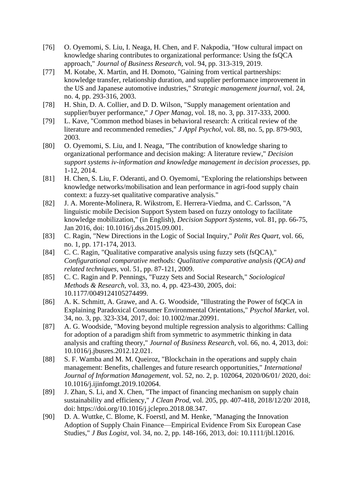- [76] O. Oyemomi, S. Liu, I. Neaga, H. Chen, and F. Nakpodia, "How cultural impact on knowledge sharing contributes to organizational performance: Using the fsQCA approach," *Journal of Business Research,* vol. 94, pp. 313-319, 2019.
- [77] M. Kotabe, X. Martin, and H. Domoto, "Gaining from vertical partnerships: knowledge transfer, relationship duration, and supplier performance improvement in the US and Japanese automotive industries," *Strategic management journal,* vol. 24, no. 4, pp. 293-316, 2003.
- [78] H. Shin, D. A. Collier, and D. D. Wilson, "Supply management orientation and supplier/buyer performance," *J Oper Manag,* vol. 18, no. 3, pp. 317-333, 2000.
- [79] L. Kave, "Common method biases in behavioral research: A critical review of the literature and recommended remedies," *J Appl Psychol,* vol. 88, no. 5, pp. 879-903, 2003.
- [80] O. Oyemomi, S. Liu, and I. Neaga, "The contribution of knowledge sharing to organizational performance and decision making: A literature review," *Decision support systems iv-information and knowledge management in decision processes,* pp. 1-12, 2014.
- [81] H. Chen, S. Liu, F. Oderanti, and O. Oyemomi, "Exploring the relationships between knowledge networks/mobilisation and lean performance in agri-food supply chain context: a fuzzy-set qualitative comparative analysis."
- [82] J. A. Morente-Molinera, R. Wikstrom, E. Herrera-Viedma, and C. Carlsson, "A linguistic mobile Decision Support System based on fuzzy ontology to facilitate knowledge mobilization," (in English), *Decision Support Systems,* vol. 81, pp. 66-75, Jan 2016, doi: 10.1016/j.dss.2015.09.001.
- [83] C. Ragin, "New Directions in the Logic of Social Inquiry," *Polit Res Quart,* vol. 66, no. 1, pp. 171-174, 2013.
- [84] C. C. Ragin, "Qualitative comparative analysis using fuzzy sets (fsQCA)," *Configurational comparative methods: Qualitative comparative analysis (QCA) and related techniques,* vol. 51, pp. 87-121, 2009.
- [85] C. C. Ragin and P. Pennings, "Fuzzy Sets and Social Research," *Sociological Methods & Research,* vol. 33, no. 4, pp. 423-430, 2005, doi: 10.1177/0049124105274499.
- [86] A. K. Schmitt, A. Grawe, and A. G. Woodside, "Illustrating the Power of fsQCA in Explaining Paradoxical Consumer Environmental Orientations," *Psychol Market,* vol. 34, no. 3, pp. 323-334, 2017, doi: 10.1002/mar.20991.
- [87] A. G. Woodside, "Moving beyond multiple regression analysis to algorithms: Calling for adoption of a paradigm shift from symmetric to asymmetric thinking in data analysis and crafting theory," *Journal of Business Research,* vol. 66, no. 4, 2013, doi: 10.1016/j.jbusres.2012.12.021.
- [88] S. F. Wamba and M. M. Queiroz, "Blockchain in the operations and supply chain management: Benefits, challenges and future research opportunities," *International Journal of Information Management,* vol. 52, no. 2, p. 102064, 2020/06/01/ 2020, doi: 10.1016/j.ijinfomgt.2019.102064.
- [89] J. Zhan, S. Li, and X. Chen, "The impact of financing mechanism on supply chain sustainability and efficiency," *J Clean Prod,* vol. 205, pp. 407-418, 2018/12/20/ 2018, doi: https://doi.org/10.1016/j.jclepro.2018.08.347.
- [90] D. A. Wuttke, C. Blome, K. Foerstl, and M. Henke, "Managing the Innovation Adoption of Supply Chain Finance—Empirical Evidence From Six European Case Studies," *J Bus Logist,* vol. 34, no. 2, pp. 148-166, 2013, doi: 10.1111/jbl.12016.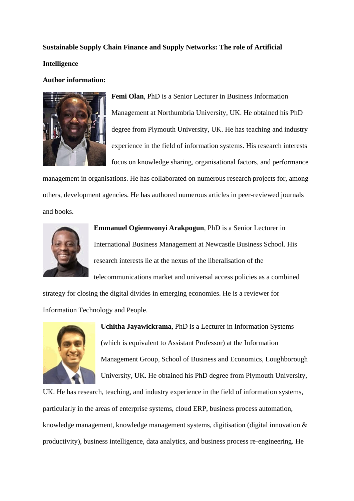**Sustainable Supply Chain Finance and Supply Networks: The role of Artificial Intelligence** 

#### **Author information:**



**Femi Olan**, PhD is a Senior Lecturer in Business Information Management at Northumbria University, UK. He obtained his PhD degree from Plymouth University, UK. He has teaching and industry experience in the field of information systems. His research interests focus on knowledge sharing, organisational factors, and performance

management in organisations. He has collaborated on numerous research projects for, among others, development agencies. He has authored numerous articles in peer-reviewed journals and books.



**Emmanuel Ogiemwonyi Arakpogun**, PhD is a Senior Lecturer in International Business Management at Newcastle Business School. His research interests lie at the nexus of the liberalisation of the telecommunications market and universal access policies as a combined

strategy for closing the digital divides in emerging economies. He is a reviewer for Information Technology and People.



**Uchitha Jayawickrama**, PhD is a Lecturer in Information Systems (which is equivalent to Assistant Professor) at the Information Management Group, School of Business and Economics, Loughborough University, UK. He obtained his PhD degree from Plymouth University,

UK. He has research, teaching, and industry experience in the field of information systems, particularly in the areas of enterprise systems, cloud ERP, business process automation, knowledge management, knowledge management systems, digitisation (digital innovation & productivity), business intelligence, data analytics, and business process re-engineering. He